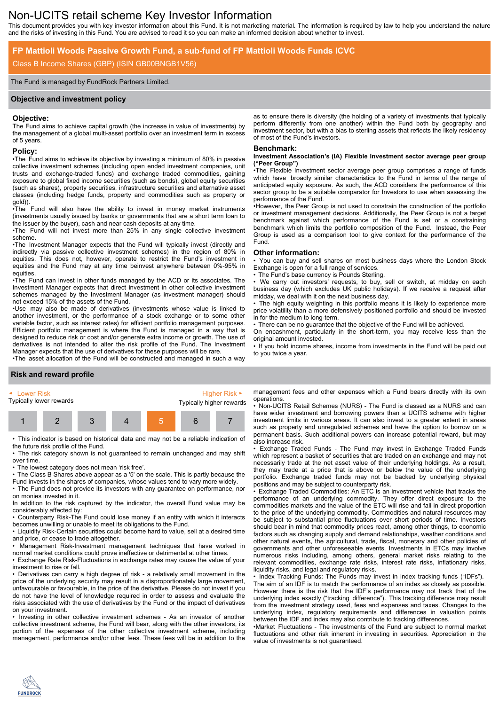# Non-UCITS retail scheme Key Investor Information

This document provides you with key investor information about this Fund. It is not marketing material. The information is required by law to help you understand the nature and the risks of investing in this Fund. You are advised to read it so you can make an informed decision about whether to invest.

# **FP Mattioli Woods Passive Growth Fund, a sub-fund of FP Mattioli Woods Funds ICVC**

## Class B Income Shares (GBP) (ISIN GB00BNGB1V56)

#### The Fund is managed by FundRock Partners Limited.

#### **Objective and investment policy**

#### **Objective:**

The Fund aims to achieve capital growth (the increase in value of investments) by the management of a global multi-asset portfolio over an investment term in excess of 5 years.

#### **Policy:**

•The Fund aims to achieve its objective by investing a minimum of 80% in passive collective investment schemes (including open ended investment companies, unit trusts and exchange-traded funds) and exchange traded commodities, gaining exposure to global fixed income securities (such as bonds), global equity securities (such as shares), property securities, infrastructure securities and alternative asset classes (including hedge funds, property and commodities such as property or gold)).

•The Fund will also have the ability to invest in money market instruments (investments usually issued by banks or governments that are a short term loan to the issuer by the buyer), cash and near cash deposits at any time.

•The Fund will not invest more than 25% in any single collective investment scheme.

•The Investment Manager expects that the Fund will typically invest (directly and indirectly via passive collective investment schemes) in the region of 80% in equities. This does not, however, operate to restrict the Fund's investment in equities and the Fund may at any time beinvest anywhere between 0%-95% in equities.

•The Fund can invest in other funds managed by the ACD or its associates. The Investment Manager expects that direct investment in other collective investment schemes managed by the Investment Manager (as investment manager) should not exceed 15% of the assets of the Fund.

•Use may also be made of derivatives (investments whose value is linked to another investment, or the performance of a stock exchange or to some other variable factor, such as interest rates) for efficient portfolio management purposes. Efficient portfolio management is where the Fund is managed in a way that is designed to reduce risk or cost and/or generate extra income or growth. The use of derivatives is not intended to alter the risk profile of the Fund. The Investment Manager expects that the use of derivatives for these purposes will be rare.

•The asset allocation of the Fund will be constructed and managed in such a way

#### as to ensure there is diversity (the holding of a variety of investments that typically perform differently from one another) within the Fund both by geography and investment sector, but with a bias to sterling assets that reflects the likely residency of most of the Fund's investors.

#### **Benchmark:**

#### **Investment Association's (IA) Flexible Investment sector average peer group ("Peer Group")**

•The Flexible Investment sector average peer group comprises a range of funds which have broadly similar characteristics to the Fund in terms of the range of anticipated equity exposure. As such, the ACD considers the performance of this sector group to be a suitable comparator for Investors to use when assessing the performance of the Fund.

•However, the Peer Group is not used to constrain the construction of the portfolio or investment management decisions. Additionally, the Peer Group is not a target benchmark against which performance of the Fund is set or a constraining benchmark which limits the portfolio composition of the Fund. Instead, the Peer Group is used as a comparison tool to give context for the performance of the Fund.

#### **Other information:**

• You can buy and sell shares on most business days where the London Stock Exchange is open for a full range of services.

The Fund's base currency is Pounds Sterling.

• We carry out investors' requests, to buy, sell or switch, at midday on each business day (which excludes UK public holidays). If we receive a request after midday, we deal with it on the next business day.

The high equity weighting in this portfolio means it is likely to experience more price volatility than a more defensively positioned portfolio and should be invested in for the medium to long-term.

There can be no guarantee that the objective of the Fund will be achieved.

On encashment, particularly in the short-term, you may receive less than the

original amount invested. • If you hold income shares, income from investments in the Fund will be paid out to you twice a year.

#### **Risk and reward profile**

**FUNDROCK** 

| ► Lower Risk            |  |  |  |  | Higher Risk $\blacktriangleright$ |  |
|-------------------------|--|--|--|--|-----------------------------------|--|
| Typically lower rewards |  |  |  |  | Typically higher rewards          |  |
|                         |  |  |  |  |                                   |  |

• This indicator is based on historical data and may not be a reliable indication of the future risk profile of the Fund.

• The risk category shown is not guaranteed to remain unchanged and may shift over time.

• The lowest category does not mean 'risk free'.

• The Class B Shares above appear as a '5' on the scale. This is partly because the Fund invests in the shares of companies, whose values tend to vary more widely.

• The Fund does not provide its investors with any guarantee on performance, nor on monies invested in it.

In addition to the risk captured by the indicator, the overall Fund value may be considerably affected by:

• Counterparty Risk-The Fund could lose money if an entity with which it interacts becomes unwilling or unable to meet its obligations to the Fund.

• Liquidity Risk-Certain securities could become hard to value, sell at a desired time and price, or cease to trade altogether.

• Management Risk-Investment management techniques that have worked in normal market conditions could prove ineffective or detrimental at other times.

• Exchange Rate Risk-Fluctuations in exchange rates may cause the value of your investment to rise or fall.

• Derivatives can carry a high degree of risk - a relatively small movement in the price of the underlying security may result in a disproportionately large movement, unfavourable or favourable, in the price of the derivative. Please do not invest if you do not have the level of knowledge required in order to assess and evaluate the risks associated with the use of derivatives by the Fund or the impact of derivatives on your investment.

• Investing in other collective investment schemes - As an investor of another collective investment scheme, the Fund will bear, along with the other investors, its portion of the expenses of the other collective investment scheme, including management, performance and/or other fees. These fees will be in addition to the

management fees and other expenses which a Fund bears directly with its own operations.

• Non-UCITS Retail Schemes (NURS) - The Fund is classed as a NURS and can have wider investment and borrowing powers than a UCITS scheme with higher investment limits in various areas. It can also invest to a greater extent in areas such as property and unregulated schemes and have the option to borrow on a permanent basis. Such additional powers can increase potential reward, but may also increase risk.

• Exchange Traded Funds - The Fund may invest in Exchange Traded Funds which represent a basket of securities that are traded on an exchange and may not necessarily trade at the net asset value of their underlying holdings. As a result, they may trade at a price that is above or below the value of the underlying portfolio. Exchange traded funds may not be backed by underlying physical positions and may be subject to counterparty risk.

• Exchange Traded Commodities: An ETC is an investment vehicle that tracks the performance of an underlying commodity. They offer direct exposure to the commodities markets and the value of the ETC will rise and fall in direct proportion to the price of the underlying commodity. Commodities and natural resources may be subject to substantial price fluctuations over short periods of time. Investors should bear in mind that commodity prices react, among other things, to economic factors such as changing supply and demand relationships, weather conditions and other natural events, the agricultural, trade, fiscal, monetary and other policies of governments and other unforeseeable events. Investments in ETCs may involve numerous risks including, among others, general market risks relating to the relevant commodities, exchange rate risks, interest rate risks, inflationary risks, liquidity risks, and legal and regulatory risks.

• Index Tracking Funds: The Funds may invest in index tracking funds ("IDFs"). The aim of an IDF is to match the performance of an index as closely as possible. However there is the risk that the IDF's performance may not track that of the underlying index exactly ("tracking difference"). This tracking difference may result from the investment strategy used, fees and expenses and taxes. Changes to the underlying index, regulatory requirements and differences in valuation points between the IDF and index may also contribute to tracking differences.

•Market Fluctuations - The investments of the Fund are subject to normal market fluctuations and other risk inherent in investing in securities. Appreciation in the value of investments is not guaranteed.